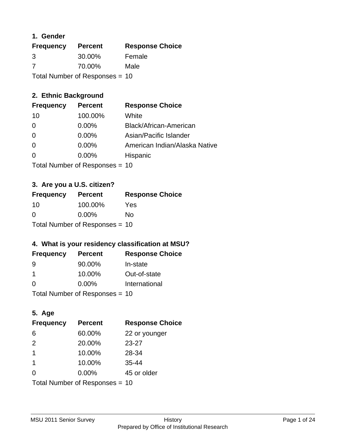## **1. Gender**

| <b>Frequency</b>                 | <b>Percent</b> | <b>Response Choice</b> |
|----------------------------------|----------------|------------------------|
| 3                                | 30.00%         | Female                 |
| 7                                | 70.00%         | Male                   |
| Total Number of Responses = $10$ |                |                        |

## **2. Ethnic Background**

| <b>Frequency</b> | <b>Percent</b> | <b>Response Choice</b>        |
|------------------|----------------|-------------------------------|
| 10               | 100.00%        | White                         |
| 0                | $0.00\%$       | Black/African-American        |
| $\overline{0}$   | 0.00%          | Asian/Pacific Islander        |
| $\overline{0}$   | 0.00%          | American Indian/Alaska Native |
| $\overline{0}$   | 0.00%          | Hispanic                      |
|                  |                |                               |

Total Number of Responses = 10

# **3. Are you a U.S. citizen?**

| <b>Frequency</b>               | <b>Percent</b> | <b>Response Choice</b> |
|--------------------------------|----------------|------------------------|
| -10                            | 100.00%        | Yes                    |
| $\Omega$                       | $0.00\%$       | Nο                     |
| Total Number of Responses = 10 |                |                        |

## **4. What is your residency classification at MSU?**

| <b>Frequency</b> | <b>Percent</b> | <b>Response Choice</b> |
|------------------|----------------|------------------------|
| 9                | 90.00%         | In-state               |
|                  | 10.00%         | Out-of-state           |
| $\Omega$         | $0.00\%$       | International          |
|                  |                |                        |

Total Number of Responses = 10

# **5. Age**

| <b>Frequency</b>               | <b>Percent</b> | <b>Response Choice</b> |
|--------------------------------|----------------|------------------------|
| 6                              | 60.00%         | 22 or younger          |
| 2                              | 20.00%         | $23 - 27$              |
| $\mathbf 1$                    | 10.00%         | 28-34                  |
| $\mathbf{1}$                   | 10.00%         | $35 - 44$              |
| $\Omega$                       | 0.00%          | 45 or older            |
| Total Number of Responses = 10 |                |                        |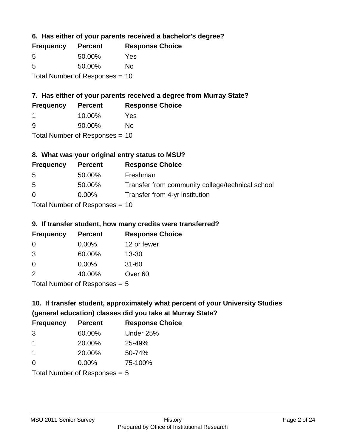**6. Has either of your parents received a bachelor's degree?**

| <b>Frequency</b>                 | <b>Percent</b> | <b>Response Choice</b> |
|----------------------------------|----------------|------------------------|
| 5                                | 50.00%         | Yes                    |
| .5                               | 50.00%         | Nο                     |
| Total Number of Responses $= 10$ |                |                        |

# **7. Has either of your parents received a degree from Murray State?**

| <b>Frequency</b> | <b>Percent</b> | <b>Response Choice</b> |
|------------------|----------------|------------------------|
|                  | 10.00%         | Yes                    |
| -9               | 90.00%         | No.                    |

Total Number of Responses = 10

## **8. What was your original entry status to MSU?**

| <b>Frequency</b> | <b>Percent</b>               | <b>Response Choice</b>                           |
|------------------|------------------------------|--------------------------------------------------|
| 5                | 50.00%                       | Freshman                                         |
| 5                | 50.00%                       | Transfer from community college/technical school |
| $\Omega$         | $0.00\%$                     | Transfer from 4-yr institution                   |
|                  | Total Number of Deepensee 10 |                                                  |

Total Number of Responses = 10

## **9. If transfer student, how many credits were transferred?**

| <b>Frequency</b>            | <b>Percent</b> | <b>Response Choice</b> |
|-----------------------------|----------------|------------------------|
| -0                          | $0.00\%$       | 12 or fewer            |
| 3                           | 60.00%         | $13 - 30$              |
| 0                           | $0.00\%$       | $31 - 60$              |
| 2                           | 40.00%         | Over <sub>60</sub>     |
| Total Number of Desponses E |                |                        |

Total Number of Responses = 5

# **10. If transfer student, approximately what percent of your University Studies (general education) classes did you take at Murray State?**

| <b>Frequency</b> | <b>Percent</b>                  | <b>Response Choice</b> |
|------------------|---------------------------------|------------------------|
| 3                | 60.00%                          | Under 25%              |
| $\mathbf 1$      | 20.00%                          | 25-49%                 |
| -1               | 20.00%                          | 50-74%                 |
| $\Omega$         | 0.00%                           | 75-100%                |
|                  | Total Number of Responses $= 5$ |                        |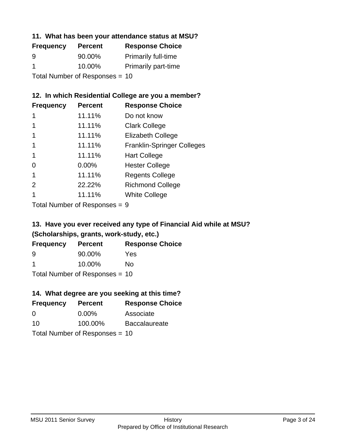## **11. What has been your attendance status at MSU?**

| <b>Frequency</b>               | <b>Percent</b> | <b>Response Choice</b>     |
|--------------------------------|----------------|----------------------------|
| 9                              | 90.00%         | <b>Primarily full-time</b> |
| -1                             | 10.00%         | <b>Primarily part-time</b> |
| Total Number of Responses = 10 |                |                            |

## **12. In which Residential College are you a member?**

| <b>Frequency</b> | <b>Percent</b> | <b>Response Choice</b>            |
|------------------|----------------|-----------------------------------|
| 1                | 11.11%         | Do not know                       |
|                  | 11.11%         | <b>Clark College</b>              |
| 1                | 11.11%         | <b>Elizabeth College</b>          |
| 1                | 11.11%         | <b>Franklin-Springer Colleges</b> |
| 1                | 11.11%         | <b>Hart College</b>               |
| 0                | $0.00\%$       | <b>Hester College</b>             |
| 1                | 11.11%         | <b>Regents College</b>            |
| 2                | 22.22%         | <b>Richmond College</b>           |
| 1                | 11.11%         | <b>White College</b>              |
|                  |                |                                   |

Total Number of Responses = 9

# **13. Have you ever received any type of Financial Aid while at MSU? (Scholarships, grants, work-study, etc.)**

| <b>Frequency</b> | <b>Percent</b>                   | <b>Response Choice</b> |
|------------------|----------------------------------|------------------------|
| 9                | 90.00%                           | Yes                    |
| -1               | 10.00%                           | No                     |
|                  | Total Number of Responses = $10$ |                        |

**14. What degree are you seeking at this time?**

| <b>Frequency</b> | <b>Percent</b>                 | <b>Response Choice</b> |
|------------------|--------------------------------|------------------------|
| 0                | $0.00\%$                       | Associate              |
| 10               | 100.00%                        | <b>Baccalaureate</b>   |
|                  | Total Number of Responses = 10 |                        |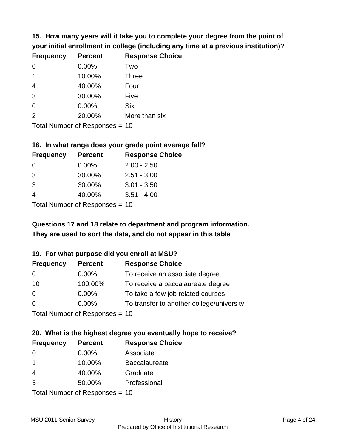**15. How many years will it take you to complete your degree from the point of your initial enrollment in college (including any time at a previous institution)?**

| <b>Frequency</b> | <b>Percent</b> | <b>Response Choice</b> |
|------------------|----------------|------------------------|
| $\Omega$         | 0.00%          | Two                    |
| $\mathbf 1$      | 10.00%         | <b>Three</b>           |
| $\overline{4}$   | 40.00%         | Four                   |
| 3                | 30.00%         | Five                   |
| 0                | 0.00%          | <b>Six</b>             |
| 2                | 20.00%         | More than six          |
|                  |                |                        |

Total Number of Responses = 10

#### **16. In what range does your grade point average fall?**

| <b>Frequency</b> | <b>Percent</b> | <b>Response Choice</b> |
|------------------|----------------|------------------------|
| 0                | 0.00%          | $2.00 - 2.50$          |
| -3               | 30.00%         | $2.51 - 3.00$          |
| -3               | 30.00%         | $3.01 - 3.50$          |
|                  | 40.00%         | $3.51 - 4.00$          |
|                  |                |                        |

Total Number of Responses = 10

# **They are used to sort the data, and do not appear in this table Questions 17 and 18 relate to department and program information.**

#### **19. For what purpose did you enroll at MSU?**

| <b>Frequency</b> | <b>Percent</b>                   | <b>Response Choice</b>                    |
|------------------|----------------------------------|-------------------------------------------|
| 0                | $0.00\%$                         | To receive an associate degree            |
| 10               | 100.00%                          | To receive a baccalaureate degree         |
| $\overline{0}$   | $0.00\%$                         | To take a few job related courses         |
| $\Omega$         | $0.00\%$                         | To transfer to another college/university |
|                  | Total Number of Responses = $10$ |                                           |

# **20. What is the highest degree you eventually hope to receive?**

| <b>Frequency</b> | <b>Percent</b>                  | <b>Response Choice</b> |
|------------------|---------------------------------|------------------------|
| $\Omega$         | $0.00\%$                        | Associate              |
| $\mathbf 1$      | 10.00%                          | <b>Baccalaureate</b>   |
| $\overline{4}$   | 40.00%                          | Graduate               |
| 5                | 50.00%                          | Professional           |
|                  | $Total Number of Denonose = 10$ |                        |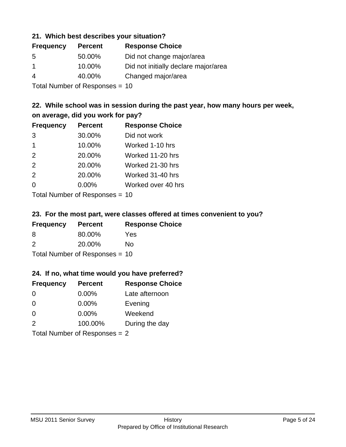## **21. Which best describes your situation?**

| <b>Frequency</b> | <b>Percent</b> | <b>Response Choice</b>               |
|------------------|----------------|--------------------------------------|
| -5               | 50.00%         | Did not change major/area            |
| -1               | 10.00%         | Did not initially declare major/area |
| 4                | 40.00%         | Changed major/area                   |
|                  |                |                                      |

Total Number of Responses = 10

## **22. While school was in session during the past year, how many hours per week, on average, did you work for pay?**

| <b>Frequency</b> | <b>Percent</b> | <b>Response Choice</b> |
|------------------|----------------|------------------------|
| 3                | 30.00%         | Did not work           |
| $\mathbf 1$      | 10.00%         | Worked 1-10 hrs        |
| 2                | 20.00%         | Worked 11-20 hrs       |
| 2                | 20.00%         | Worked 21-30 hrs       |
| 2                | 20.00%         | Worked 31-40 hrs       |
| $\Omega$         | 0.00%          | Worked over 40 hrs     |
|                  |                |                        |

Total Number of Responses = 10

#### **23. For the most part, were classes offered at times convenient to you?**

| <b>Frequency</b>                 | <b>Percent</b> | <b>Response Choice</b> |
|----------------------------------|----------------|------------------------|
| 8                                | 80.00%         | Yes                    |
| $\mathcal{P}$                    | 20.00%         | Nο                     |
| Total Number of Responses = $10$ |                |                        |

## **24. If no, what time would you have preferred?**

| <b>Frequency</b> | <b>Percent</b>                  | <b>Response Choice</b> |
|------------------|---------------------------------|------------------------|
| $\Omega$         | 0.00%                           | Late afternoon         |
| $\Omega$         | 0.00%                           | Evening                |
| 0                | $0.00\%$                        | Weekend                |
| 2                | 100.00%                         | During the day         |
|                  | Total Number of Responses $= 2$ |                        |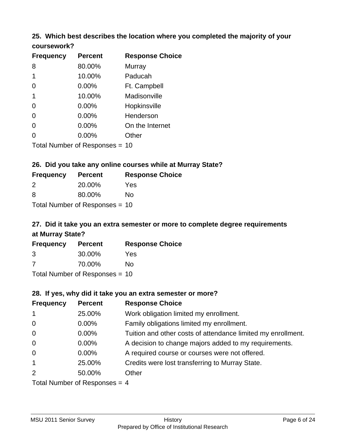## **25. Which best describes the location where you completed the majority of your coursework?**

| <b>Frequency</b> | <b>Percent</b>                 | <b>Response Choice</b> |
|------------------|--------------------------------|------------------------|
| 8                | 80.00%                         | Murray                 |
| 1                | 10.00%                         | Paducah                |
| 0                | 0.00%                          | Ft. Campbell           |
| 1                | 10.00%                         | Madisonville           |
| 0                | 0.00%                          | Hopkinsville           |
| $\overline{0}$   | 0.00%                          | Henderson              |
| 0                | 0.00%                          | On the Internet        |
| 0                | 0.00%                          | Other                  |
|                  | Total Number of Recnonces - 10 |                        |

Total Number of Responses = 10

## **26. Did you take any online courses while at Murray State?**

| <b>Frequency</b> | <b>Percent</b>                 | <b>Response</b> |
|------------------|--------------------------------|-----------------|
| $\mathcal{P}$    | 20.00%                         | Yes             |
| -8               | 80.00%                         | No.             |
|                  | Total Number of Responses = 10 |                 |

# **27. Did it take you an extra semester or more to complete degree requirements at Murray State?**

**Choice** 

| <b>Frequency</b> | <b>Percent</b>                   | <b>Response Choice</b> |
|------------------|----------------------------------|------------------------|
| 3                | 30.00%                           | Yes                    |
| -7               | 70.00%                           | Nο                     |
|                  | Total Number of Responses $= 10$ |                        |

**28. If yes, why did it take you an extra semester or more?**

| <b>Frequency</b> | <b>Percent</b>                  | <b>Response Choice</b>                                       |
|------------------|---------------------------------|--------------------------------------------------------------|
| $\mathbf{1}$     | 25.00%                          | Work obligation limited my enrollment.                       |
| $\overline{0}$   | $0.00\%$                        | Family obligations limited my enrollment.                    |
| $\mathbf 0$      | $0.00\%$                        | Tuition and other costs of attendance limited my enrollment. |
| $\overline{0}$   | $0.00\%$                        | A decision to change majors added to my requirements.        |
| $\overline{0}$   | $0.00\%$                        | A required course or courses were not offered.               |
| $\mathbf{1}$     | 25.00%                          | Credits were lost transferring to Murray State.              |
| $\overline{2}$   | 50.00%                          | Other                                                        |
|                  | Total Number of Responses $=$ 4 |                                                              |

MSU 2011 Senior Survey **History** History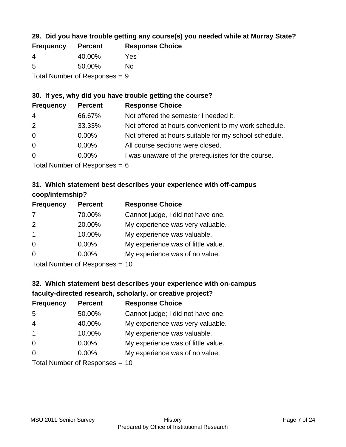## **29. Did you have trouble getting any course(s) you needed while at Murray State?**

| <b>Frequency</b> | <b>Percent</b>                  | <b>Response Choice</b> |
|------------------|---------------------------------|------------------------|
| -4               | 40.00%                          | Yes                    |
| -5               | 50.00%                          | Nο                     |
|                  | Total Number of Responses $= 9$ |                        |

## **30. If yes, why did you have trouble getting the course?**

| <b>Frequency</b> | <b>Percent</b> | <b>Response Choice</b>                                |
|------------------|----------------|-------------------------------------------------------|
| $\overline{4}$   | 66.67%         | Not offered the semester I needed it.                 |
| 2                | 33.33%         | Not offered at hours convenient to my work schedule.  |
| $\overline{0}$   | $0.00\%$       | Not offered at hours suitable for my school schedule. |
| $\overline{0}$   | $0.00\%$       | All course sections were closed.                      |
| $\overline{0}$   | 0.00%          | I was unaware of the prerequisites for the course.    |
|                  |                |                                                       |

Total Number of Responses  $= 6$ 

## **31. Which statement best describes your experience with off-campus coop/internship?**

| <b>Frequency</b> | <b>Percent</b> | <b>Response Choice</b>             |
|------------------|----------------|------------------------------------|
| 7                | 70.00%         | Cannot judge, I did not have one.  |
| 2                | 20.00%         | My experience was very valuable.   |
| $\overline{1}$   | 10.00%         | My experience was valuable.        |
| $\Omega$         | $0.00\%$       | My experience was of little value. |
| $\Omega$         | 0.00%          | My experience was of no value.     |
|                  |                |                                    |

Total Number of Responses = 10

# **32. Which statement best describes your experience with on-campus faculty-directed research, scholarly, or creative project?**

| <b>Frequency</b> | <b>Percent</b>                 | <b>Response Choice</b>             |
|------------------|--------------------------------|------------------------------------|
| 5                | 50.00%                         | Cannot judge; I did not have one.  |
| $\overline{4}$   | 40.00%                         | My experience was very valuable.   |
| $\overline{1}$   | 10.00%                         | My experience was valuable.        |
| $\Omega$         | $0.00\%$                       | My experience was of little value. |
| $\Omega$         | $0.00\%$                       | My experience was of no value.     |
|                  | $Total Number of Denonce - 10$ |                                    |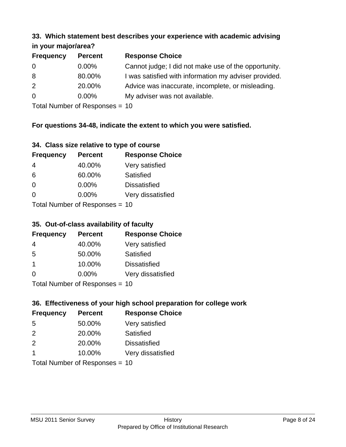#### **33. Which statement best describes your experience with academic advising in your major/area?**

| $\mathbf{u}$ yvu $\mathbf{u}$ yvu $\mathbf{u}$ |                |                                                       |  |
|------------------------------------------------|----------------|-------------------------------------------------------|--|
| <b>Frequency</b>                               | <b>Percent</b> | <b>Response Choice</b>                                |  |
| 0                                              | $0.00\%$       | Cannot judge; I did not make use of the opportunity.  |  |
| 8                                              | 80.00%         | I was satisfied with information my adviser provided. |  |
| 2                                              | 20.00%         | Advice was inaccurate, incomplete, or misleading.     |  |
| $\overline{0}$                                 | $0.00\%$       | My adviser was not available.                         |  |
|                                                |                |                                                       |  |

Total Number of Responses = 10

## **For questions 34-48, indicate the extent to which you were satisfied.**

| 34. Class size relative to type of course |  |  |  |  |  |  |  |  |
|-------------------------------------------|--|--|--|--|--|--|--|--|
|-------------------------------------------|--|--|--|--|--|--|--|--|

| <b>Frequency</b> | <b>Percent</b>                 | <b>Response Choice</b> |
|------------------|--------------------------------|------------------------|
| 4                | 40.00%                         | Very satisfied         |
| 6                | 60.00%                         | Satisfied              |
| $\Omega$         | $0.00\%$                       | <b>Dissatisfied</b>    |
| $\Omega$         | $0.00\%$                       | Very dissatisfied      |
|                  | Total Number of Responses - 10 |                        |

Total Number of Responses = 10

## **35. Out-of-class availability of faculty**

| <b>Frequency</b> | <b>Percent</b>            | <b>Response Choice</b> |
|------------------|---------------------------|------------------------|
| 4                | 40.00%                    | Very satisfied         |
| 5                | 50.00%                    | <b>Satisfied</b>       |
| $\mathbf 1$      | 10.00%                    | <b>Dissatisfied</b>    |
| $\Omega$         | 0.00%                     | Very dissatisfied      |
|                  | Total Number of Desponses |                        |

Total Number of Responses = 10

## **36. Effectiveness of your high school preparation for college work**

| <b>Frequency</b> | <b>Percent</b>                 | <b>Response Choice</b> |
|------------------|--------------------------------|------------------------|
| 5                | 50.00%                         | Very satisfied         |
| $\mathcal{P}$    | 20.00%                         | Satisfied              |
| 2                | 20.00%                         | <b>Dissatisfied</b>    |
| -1               | 10.00%                         | Very dissatisfied      |
|                  | Total Number of Responses = 10 |                        |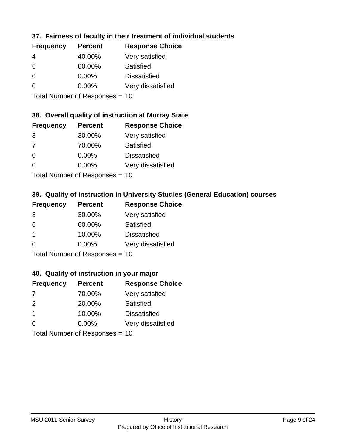## **37. Fairness of faculty in their treatment of individual students**

| <b>Frequency</b> | <b>Percent</b> | <b>Response Choice</b> |
|------------------|----------------|------------------------|
| 4                | 40.00%         | Very satisfied         |
| 6                | 60.00%         | Satisfied              |
| $\Omega$         | $0.00\%$       | <b>Dissatisfied</b>    |
| ∩                | 0.00%          | Very dissatisfied      |
|                  |                |                        |

Total Number of Responses = 10

#### **38. Overall quality of instruction at Murray State**

| <b>Frequency</b> | <b>Percent</b> | <b>Response Choice</b> |
|------------------|----------------|------------------------|
| 3                | 30.00%         | Very satisfied         |
| 7                | 70.00%         | Satisfied              |
| $\Omega$         | 0.00%          | <b>Dissatisfied</b>    |
| $\Omega$         | 0.00%          | Very dissatisfied      |
|                  |                |                        |

Total Number of Responses = 10

## **39. Quality of instruction in University Studies (General Education) courses**

| <b>Frequency</b> | <b>Percent</b>             | <b>Response Choice</b> |
|------------------|----------------------------|------------------------|
| 3                | 30.00%                     | Very satisfied         |
| 6                | 60.00%                     | Satisfied              |
| $\mathbf 1$      | 10.00%                     | <b>Dissatisfied</b>    |
| $\Omega$         | 0.00%                      | Very dissatisfied      |
|                  | Total Number of Denonone – |                        |

Total Number of Responses = 10

## **40. Quality of instruction in your major**

| <b>Frequency</b>        | <b>Percent</b>             | <b>Response Choice</b> |
|-------------------------|----------------------------|------------------------|
| 7                       | 70.00%                     | Very satisfied         |
| $\mathcal{P}$           | 20.00%                     | Satisfied              |
| $\overline{\mathbf{1}}$ | 10.00%                     | <b>Dissatisfied</b>    |
| $\Omega$                | $0.00\%$                   | Very dissatisfied      |
|                         | Tatal Manakan af Dannannan |                        |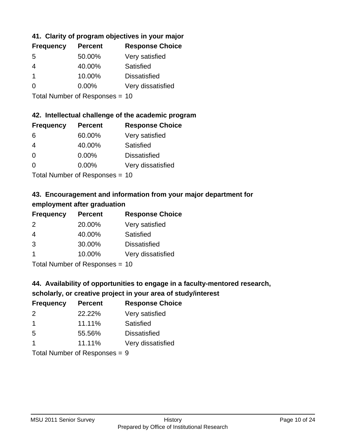## **41. Clarity of program objectives in your major**

| <b>Frequency</b> | <b>Percent</b> | <b>Response Choice</b> |
|------------------|----------------|------------------------|
| .5               | 50.00%         | Very satisfied         |
|                  | 40.00%         | Satisfied              |
|                  | 10.00%         | <b>Dissatisfied</b>    |
| O                | $0.00\%$       | Very dissatisfied      |
|                  |                |                        |

Total Number of Responses = 10

#### **42. Intellectual challenge of the academic program**

| <b>Frequency</b> | <b>Percent</b> | <b>Response Choice</b> |
|------------------|----------------|------------------------|
| 6                | 60.00%         | Very satisfied         |
| 4                | 40.00%         | Satisfied              |
| $\Omega$         | 0.00%          | <b>Dissatisfied</b>    |
| $\Omega$         | 0.00%          | Very dissatisfied      |
|                  |                |                        |

Total Number of Responses = 10

# **43. Encouragement and information from your major department for employment after graduation**

| <b>Frequency</b>     | <b>Percent</b>             | <b>Response Choice</b> |
|----------------------|----------------------------|------------------------|
| 2                    | 20.00%                     | Very satisfied         |
| 4                    | 40.00%                     | Satisfied              |
| 3                    | 30.00%                     | <b>Dissatisfied</b>    |
| $\blacktriangleleft$ | 10.00%                     | Very dissatisfied      |
|                      | Tatal Manakan af Dannannan |                        |

Total Number of Responses = 10

## **44. Availability of opportunities to engage in a faculty-mentored research,**

## **scholarly, or creative project in your area of study/interest**

| <b>Frequency</b> | <b>Percent</b> | <b>Response Choice</b> |
|------------------|----------------|------------------------|
| $\mathcal{P}$    | 22.22%         | Very satisfied         |
| -1               | 11.11%         | Satisfied              |
| .5               | 55.56%         | <b>Dissatisfied</b>    |
|                  | 11.11%         | Very dissatisfied      |
|                  |                |                        |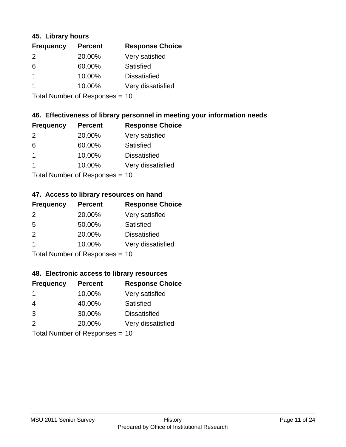## **45. Library hours**

| <b>Frequency</b> | <b>Percent</b> | <b>Response Choice</b> |
|------------------|----------------|------------------------|
| 2                | 20.00%         | Very satisfied         |
| 6                | 60.00%         | Satisfied              |
| -1               | 10.00%         | <b>Dissatisfied</b>    |
|                  | 10.00%         | Very dissatisfied      |
|                  |                |                        |

Total Number of Responses = 10

## **46. Effectiveness of library personnel in meeting your information needs**

| <b>Frequency</b> | <b>Percent</b> | <b>Response Choice</b> |
|------------------|----------------|------------------------|
| $\mathcal{P}$    | 20.00%         | Very satisfied         |
| 6                | 60.00%         | Satisfied              |
|                  | 10.00%         | <b>Dissatisfied</b>    |
|                  | 10.00%         | Very dissatisfied      |
|                  |                |                        |

Total Number of Responses = 10

## **47. Access to library resources on hand**

| <b>Frequency</b> | <b>Percent</b>            | <b>Response Choice</b> |
|------------------|---------------------------|------------------------|
| $\mathcal{P}$    | 20.00%                    | Very satisfied         |
| 5                | 50.00%                    | Satisfied              |
| $\mathcal{P}$    | 20.00%                    | <b>Dissatisfied</b>    |
| $\overline{1}$   | 10.00%                    | Very dissatisfied      |
|                  | Total Number of Desponses |                        |

Total Number of Responses = 10

## **48. Electronic access to library resources**

| <b>Frequency</b> | <b>Percent</b>                 | <b>Response Choice</b> |
|------------------|--------------------------------|------------------------|
| -1               | 10.00%                         | Very satisfied         |
| 4                | 40.00%                         | Satisfied              |
| 3                | 30.00%                         | <b>Dissatisfied</b>    |
| 2                | 20.00%                         | Very dissatisfied      |
|                  | Total Number of Responses = 10 |                        |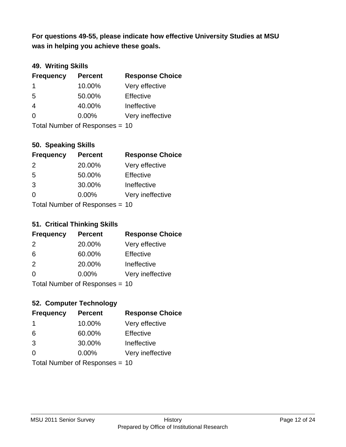**was in helping you achieve these goals. For questions 49-55, please indicate how effective University Studies at MSU** 

## **49. Writing Skills**

| <b>Frequency</b> | <b>Percent</b>                 | <b>Response Choice</b> |
|------------------|--------------------------------|------------------------|
| -1               | 10.00%                         | Very effective         |
| 5                | 50.00%                         | Effective              |
| 4                | 40.00%                         | Ineffective            |
| $\Omega$         | $0.00\%$                       | Very ineffective       |
|                  | Total Number of Responses = 10 |                        |

## **50. Speaking Skills**

| <b>Frequency</b> | <b>Percent</b>                 | <b>Response Choice</b> |
|------------------|--------------------------------|------------------------|
| $\mathcal{P}$    | 20.00%                         | Very effective         |
| 5                | 50.00%                         | Effective              |
| 3                | 30.00%                         | Ineffective            |
| $\Omega$         | $0.00\%$                       | Very ineffective       |
|                  | Total Number of Responses = 10 |                        |

#### **51. Critical Thinking Skills**

| <b>Frequency</b> | <b>Percent</b>            | <b>Response Choice</b> |
|------------------|---------------------------|------------------------|
| 2                | 20.00%                    | Very effective         |
| 6                | 60.00%                    | Effective              |
| $\mathcal{P}$    | 20.00%                    | Ineffective            |
| $\Omega$         | 0.00%                     | Very ineffective       |
|                  | Total Number of DoEROR 0. |                        |

Total Number of Responses = 10

## **52. Computer Technology**

| <b>Frequency</b>               | <b>Percent</b> | <b>Response Choice</b> |
|--------------------------------|----------------|------------------------|
| -1                             | 10.00%         | Very effective         |
| 6                              | 60.00%         | Effective              |
| 3                              | 30.00%         | Ineffective            |
| $\Omega$                       | $0.00\%$       | Very ineffective       |
| Total Number of Responses = 10 |                |                        |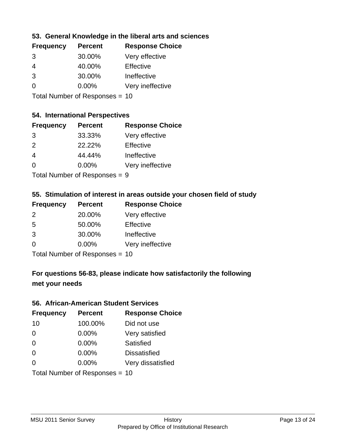## **53. General Knowledge in the liberal arts and sciences**

| <b>Frequency</b> | <b>Percent</b> | <b>Response Choice</b> |
|------------------|----------------|------------------------|
| 3                | 30.00%         | Very effective         |
| 4                | 40.00%         | Effective              |
| 3                | 30.00%         | Ineffective            |
| $\Omega$         | $0.00\%$       | Very ineffective       |
|                  |                |                        |

Total Number of Responses = 10

#### **54. International Perspectives**

| <b>Frequency</b> | <b>Percent</b> | <b>Response Choice</b> |
|------------------|----------------|------------------------|
| 3                | 33.33%         | Very effective         |
| 2                | 22.22%         | Effective              |
|                  | 44.44%         | Ineffective            |
| ∩                | 0.00%          | Very ineffective       |
|                  |                |                        |

Total Number of Responses = 9

## **55. Stimulation of interest in areas outside your chosen field of study**

| <b>Frequency</b> | <b>Percent</b>                 | <b>Response Choice</b> |
|------------------|--------------------------------|------------------------|
| $\mathcal{P}$    | 20.00%                         | Very effective         |
| 5                | 50.00%                         | Effective              |
| 3                | 30.00%                         | Ineffective            |
| $\Omega$         | $0.00\%$                       | Very ineffective       |
|                  | Total Number of Responses = 10 |                        |

# **For questions 56-83, please indicate how satisfactorily the following met your needs**

#### **56. African-American Student Services**

| <b>Frequency</b> | <b>Percent</b>                 | <b>Response Choice</b> |
|------------------|--------------------------------|------------------------|
| 10               | 100.00%                        | Did not use            |
| $\Omega$         | 0.00%                          | Very satisfied         |
| $\Omega$         | 0.00%                          | <b>Satisfied</b>       |
| $\Omega$         | 0.00%                          | <b>Dissatisfied</b>    |
| $\Omega$         | 0.00%                          | Very dissatisfied      |
|                  | Total Number of Responses = 10 |                        |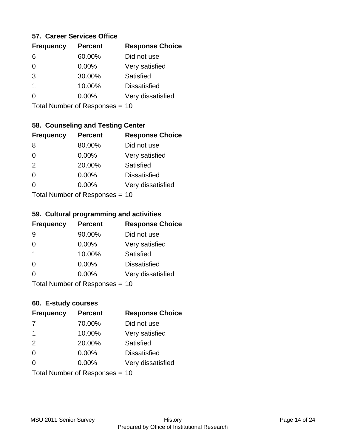#### **57. Career Services Office**

| <b>Frequency</b> | <b>Percent</b> | <b>Response Choice</b> |
|------------------|----------------|------------------------|
| 6                | 60.00%         | Did not use            |
|                  | $0.00\%$       | Very satisfied         |
| 3                | 30.00%         | Satisfied              |
|                  | 10.00%         | <b>Dissatisfied</b>    |
|                  | $0.00\%$       | Very dissatisfied      |
|                  |                |                        |

Total Number of Responses = 10

# **58. Counseling and Testing Center**

| <b>Frequency</b> | <b>Percent</b>              | <b>Response Choice</b> |
|------------------|-----------------------------|------------------------|
| 8                | 80.00%                      | Did not use            |
| $\Omega$         | 0.00%                       | Very satisfied         |
| 2                | 20.00%                      | Satisfied              |
| $\Omega$         | 0.00%                       | <b>Dissatisfied</b>    |
| 0                | 0.00%                       | Very dissatisfied      |
|                  | Total Number of Despasses - |                        |

Total Number of Responses = 10

#### **59. Cultural programming and activities**

| <b>Frequency</b> | <b>Percent</b>                 | <b>Response Choice</b> |
|------------------|--------------------------------|------------------------|
| 9                | 90.00%                         | Did not use            |
| $\Omega$         | $0.00\%$                       | Very satisfied         |
| -1               | 10.00%                         | Satisfied              |
| $\Omega$         | $0.00\%$                       | <b>Dissatisfied</b>    |
| $\Omega$         | $0.00\%$                       | Very dissatisfied      |
|                  | Total Number of Responses = 10 |                        |

## **60. E-study courses**

| <b>Frequency</b> | <b>Percent</b>                 | <b>Response Choice</b> |
|------------------|--------------------------------|------------------------|
| 7                | 70.00%                         | Did not use            |
| -1               | 10.00%                         | Very satisfied         |
| 2                | 20.00%                         | Satisfied              |
| $\Omega$         | 0.00%                          | <b>Dissatisfied</b>    |
| ∩                | $0.00\%$                       | Very dissatisfied      |
|                  | Total Number of Responses = 10 |                        |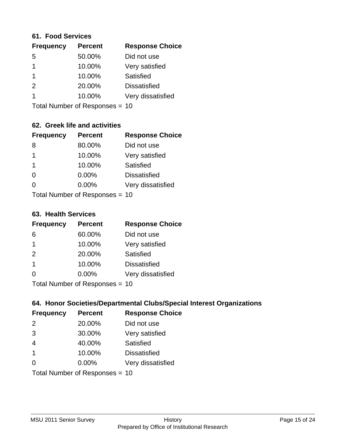#### **61. Food Services**

| <b>Frequency</b> | <b>Percent</b> | <b>Response Choice</b> |
|------------------|----------------|------------------------|
| 5                | 50.00%         | Did not use            |
|                  | 10.00%         | Very satisfied         |
|                  | 10.00%         | Satisfied              |
| $\mathcal{P}$    | 20.00%         | <b>Dissatisfied</b>    |
|                  | 10.00%         | Very dissatisfied      |
|                  |                |                        |

Total Number of Responses = 10

## **62. Greek life and activities**

| <b>Frequency</b> | <b>Percent</b>                 | <b>Response Choice</b> |
|------------------|--------------------------------|------------------------|
| 8                | 80.00%                         | Did not use            |
| 1                | 10.00%                         | Very satisfied         |
| -1               | 10.00%                         | Satisfied              |
| $\Omega$         | 0.00%                          | <b>Dissatisfied</b>    |
| 0                | $0.00\%$                       | Very dissatisfied      |
|                  | Total Number of Responses = 10 |                        |

#### **63. Health Services**

| <b>Frequency</b> | <b>Percent</b>             | <b>Response Choice</b> |
|------------------|----------------------------|------------------------|
| 6                | 60.00%                     | Did not use            |
| -1               | 10.00%                     | Very satisfied         |
| 2                | 20.00%                     | Satisfied              |
| -1               | 10.00%                     | <b>Dissatisfied</b>    |
| $\Omega$         | $0.00\%$                   | Very dissatisfied      |
|                  | Total Number of Desperance |                        |

Total Number of Responses = 10

## **64. Honor Societies/Departmental Clubs/Special Interest Organizations**

| <b>Frequency</b> | <b>Percent</b>                 | <b>Response Choice</b> |
|------------------|--------------------------------|------------------------|
| 2                | 20.00%                         | Did not use            |
| 3                | 30.00%                         | Very satisfied         |
| $\overline{4}$   | 40.00%                         | Satisfied              |
| $\overline{1}$   | 10.00%                         | <b>Dissatisfied</b>    |
| $\Omega$         | 0.00%                          | Very dissatisfied      |
|                  | Total Number of Responses = 10 |                        |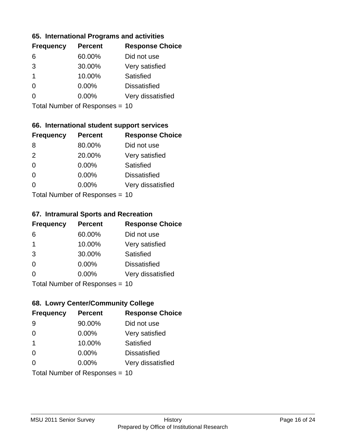## **65. International Programs and activities**

| <b>Frequency</b> | <b>Percent</b> | <b>Response Choice</b> |
|------------------|----------------|------------------------|
| 6                | 60.00%         | Did not use            |
| 3                | 30.00%         | Very satisfied         |
|                  | 10.00%         | Satisfied              |
| 0                | $0.00\%$       | <b>Dissatisfied</b>    |
|                  | 0.00%          | Very dissatisfied      |
|                  |                |                        |

Total Number of Responses = 10

## **66. International student support services**

| <b>Frequency</b>          | <b>Percent</b> | <b>Response Choice</b> |
|---------------------------|----------------|------------------------|
| 8                         | 80.00%         | Did not use            |
| 2                         | 20.00%         | Very satisfied         |
| $\Omega$                  | $0.00\%$       | Satisfied              |
| $\Omega$                  | 0.00%          | <b>Dissatisfied</b>    |
| 0                         | 0.00%          | Very dissatisfied      |
| Total Number of Desponses |                |                        |

Total Number of Responses = 10

#### **67. Intramural Sports and Recreation**

| <b>Frequency</b> | <b>Percent</b>                  | <b>Response Choice</b> |
|------------------|---------------------------------|------------------------|
| 6                | 60.00%                          | Did not use            |
| $\overline{1}$   | 10.00%                          | Very satisfied         |
| 3                | 30.00%                          | <b>Satisfied</b>       |
| $\Omega$         | $0.00\%$                        | <b>Dissatisfied</b>    |
| $\Omega$         | $0.00\%$                        | Very dissatisfied      |
|                  | $Total Number of Denonose = 10$ |                        |

Total Number of Responses = 10

## **68. Lowry Center/Community College**

| <b>Frequency</b> | <b>Percent</b>                 | <b>Response Choice</b> |
|------------------|--------------------------------|------------------------|
| 9                | 90.00%                         | Did not use            |
| $\Omega$         | 0.00%                          | Very satisfied         |
| $\overline{1}$   | 10.00%                         | Satisfied              |
| $\Omega$         | 0.00%                          | <b>Dissatisfied</b>    |
| ∩                | $0.00\%$                       | Very dissatisfied      |
|                  | Total Number of Responses = 10 |                        |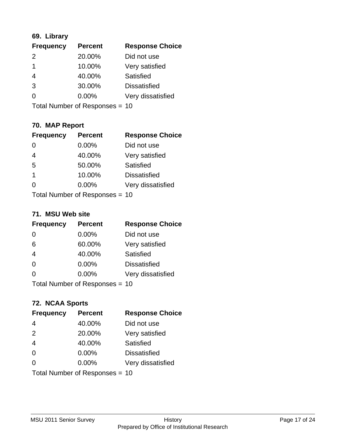## **69. Library**

| <b>Frequency</b> | <b>Percent</b> | <b>Response Choice</b> |
|------------------|----------------|------------------------|
| $\mathcal{P}$    | 20.00%         | Did not use            |
| -1               | 10.00%         | Very satisfied         |
| 4                | 40.00%         | Satisfied              |
| 3                | 30.00%         | <b>Dissatisfied</b>    |
| ∩                | 0.00%          | Very dissatisfied      |
|                  |                |                        |

Total Number of Responses = 10

## **70. MAP Report**

| <b>Frequency</b> | <b>Percent</b>                 | <b>Response Choice</b> |
|------------------|--------------------------------|------------------------|
| 0                | 0.00%                          | Did not use            |
| $\overline{4}$   | 40.00%                         | Very satisfied         |
| 5                | 50.00%                         | Satisfied              |
| 1                | 10.00%                         | <b>Dissatisfied</b>    |
| 0                | $0.00\%$                       | Very dissatisfied      |
|                  | Total Number of Responses = 10 |                        |

#### **71. MSU Web site**

| <b>Frequency</b>               | <b>Percent</b> | <b>Response Choice</b> |
|--------------------------------|----------------|------------------------|
| $\Omega$                       | $0.00\%$       | Did not use            |
| 6                              | 60.00%         | Very satisfied         |
| $\overline{4}$                 | 40.00%         | Satisfied              |
| $\Omega$                       | $0.00\%$       | <b>Dissatisfied</b>    |
| ∩                              | 0.00%          | Very dissatisfied      |
| Total Number of Responses = 10 |                |                        |

# **72. NCAA Sports**

| <b>Frequency</b> | <b>Percent</b>                 | <b>Response Choice</b> |
|------------------|--------------------------------|------------------------|
| $\overline{4}$   | 40.00%                         | Did not use            |
| 2                | 20.00%                         | Very satisfied         |
| $\overline{4}$   | 40.00%                         | <b>Satisfied</b>       |
| $\overline{0}$   | 0.00%                          | <b>Dissatisfied</b>    |
| $\Omega$         | 0.00%                          | Very dissatisfied      |
|                  | Total Number of Responses = 10 |                        |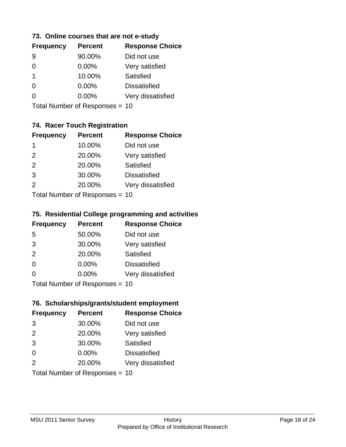## **73. Online courses that are not e-study**

| <b>Frequency</b> | <b>Percent</b> | <b>Response Choice</b> |
|------------------|----------------|------------------------|
|                  | 90.00%         | Did not use            |
|                  | 0.00%          | Very satisfied         |
| 1                | 10.00%         | Satisfied              |
|                  | $0.00\%$       | <b>Dissatisfied</b>    |
|                  | $0.00\%$       | Very dissatisfied      |
|                  |                |                        |

Total Number of Responses = 10

## **74. Racer Touch Registration**

| <b>Frequency</b>           | <b>Percent</b> | <b>Response Choice</b> |
|----------------------------|----------------|------------------------|
| 1                          | 10.00%         | Did not use            |
| 2                          | 20.00%         | Very satisfied         |
| 2                          | 20.00%         | <b>Satisfied</b>       |
| 3                          | 30.00%         | <b>Dissatisfied</b>    |
| $\mathcal{P}$              | 20.00%         | Very dissatisfied      |
| Tatal Number of Desperance |                |                        |

Total Number of Responses = 10

#### **75. Residential College programming and activities**

| <b>Frequency</b> | <b>Percent</b>            | <b>Response Choice</b> |
|------------------|---------------------------|------------------------|
| 5                | 50.00%                    | Did not use            |
| 3                | 30.00%                    | Very satisfied         |
| 2                | 20.00%                    | Satisfied              |
| $\Omega$         | 0.00%                     | <b>Dissatisfied</b>    |
| $\Omega$         | 0.00%                     | Very dissatisfied      |
|                  | Total Number of Desponses |                        |

Total Number of Responses = 10

#### **76. Scholarships/grants/student employment**

| <b>Frequency</b> | <b>Percent</b>                 | <b>Response Choice</b> |
|------------------|--------------------------------|------------------------|
| 3                | 30.00%                         | Did not use            |
| 2                | 20.00%                         | Very satisfied         |
| 3                | 30.00%                         | Satisfied              |
| $\Omega$         | $0.00\%$                       | <b>Dissatisfied</b>    |
| 2                | 20.00%                         | Very dissatisfied      |
|                  | Total Number of Responses = 10 |                        |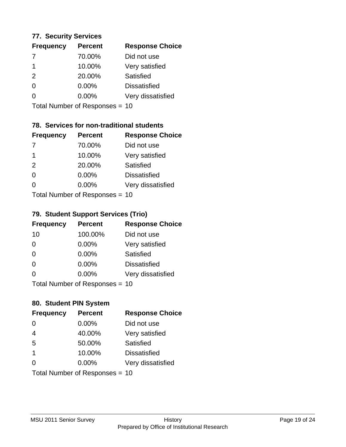## **77. Security Services**

| <b>Frequency</b> | <b>Percent</b> | <b>Response Choice</b> |
|------------------|----------------|------------------------|
| 7                | 70.00%         | Did not use            |
| -1               | 10.00%         | Very satisfied         |
| $\mathcal{P}$    | 20.00%         | Satisfied              |
| ∩                | 0.00%          | <b>Dissatisfied</b>    |
|                  | $0.00\%$       | Very dissatisfied      |
|                  |                |                        |

Total Number of Responses = 10

## **78. Services for non-traditional students**

| <b>Frequency</b> | <b>Percent</b>            | <b>Response Choice</b> |
|------------------|---------------------------|------------------------|
|                  | 70.00%                    | Did not use            |
| -1               | 10.00%                    | Very satisfied         |
| 2                | 20.00%                    | <b>Satisfied</b>       |
| $\Omega$         | 0.00%                     | <b>Dissatisfied</b>    |
| ∩                | 0.00%                     | Very dissatisfied      |
|                  | Total Number of Desponses |                        |

Total Number of Responses = 10

#### **79. Student Support Services (Trio)**

| <b>Frequency</b> | <b>Percent</b>                  | <b>Response Choice</b> |
|------------------|---------------------------------|------------------------|
| 10               | 100.00%                         | Did not use            |
| $\Omega$         | $0.00\%$                        | Very satisfied         |
| $\Omega$         | $0.00\%$                        | <b>Satisfied</b>       |
| $\Omega$         | $0.00\%$                        | <b>Dissatisfied</b>    |
| $\Omega$         | $0.00\%$                        | Very dissatisfied      |
|                  | $Total Number of Denonose = 10$ |                        |

Total Number of Responses = 10

## **80. Student PIN System**

| <b>Frequency</b>        | <b>Percent</b>                 | <b>Response Choice</b> |
|-------------------------|--------------------------------|------------------------|
| $\Omega$                | 0.00%                          | Did not use            |
| $\overline{4}$          | 40.00%                         | Very satisfied         |
| 5                       | 50.00%                         | Satisfied              |
| $\overline{\mathbf{1}}$ | 10.00%                         | <b>Dissatisfied</b>    |
| $\Omega$                | $0.00\%$                       | Very dissatisfied      |
|                         | Total Number of Responses = 10 |                        |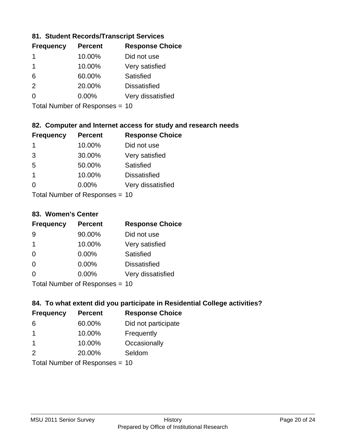## **81. Student Records/Transcript Services**

| <b>Frequency</b> | <b>Percent</b> | <b>Response Choice</b> |
|------------------|----------------|------------------------|
|                  | 10.00%         | Did not use            |
|                  | 10.00%         | Very satisfied         |
| 6                | 60.00%         | Satisfied              |
| $\mathcal{P}$    | 20.00%         | <b>Dissatisfied</b>    |
| ∩                | $0.00\%$       | Very dissatisfied      |

Total Number of Responses = 10

## **82. Computer and Internet access for study and research needs**

| <b>Frequency</b>          | <b>Percent</b> | <b>Response Choice</b> |
|---------------------------|----------------|------------------------|
| 1                         | 10.00%         | Did not use            |
| 3                         | 30.00%         | Very satisfied         |
| 5                         | 50.00%         | Satisfied              |
| 1                         | 10.00%         | <b>Dissatisfied</b>    |
| ∩                         | 0.00%          | Very dissatisfied      |
| Total Number of Deepensee |                |                        |

Total Number of Responses = 10

#### **83. Women's Center**

| <b>Frequency</b>           | <b>Percent</b> | <b>Response Choice</b> |
|----------------------------|----------------|------------------------|
| 9                          | 90.00%         | Did not use            |
| 1                          | 10.00%         | Very satisfied         |
| $\Omega$                   | $0.00\%$       | Satisfied              |
| $\Omega$                   | 0.00%          | <b>Dissatisfied</b>    |
| ∩                          | $0.00\%$       | Very dissatisfied      |
| Tatal Number of Desperance |                |                        |

Total Number of Responses = 10

## **84. To what extent did you participate in Residential College activities?**

| <b>Frequency</b> | <b>Percent</b>            | <b>Response Choice</b> |  |
|------------------|---------------------------|------------------------|--|
| 6                | 60.00%                    | Did not participate    |  |
| 1                | 10.00%                    | Frequently             |  |
| -1               | 10.00%                    | Occasionally           |  |
| $\mathcal{P}$    | 20.00%                    | Seldom                 |  |
|                  | Total Number of Deepensee |                        |  |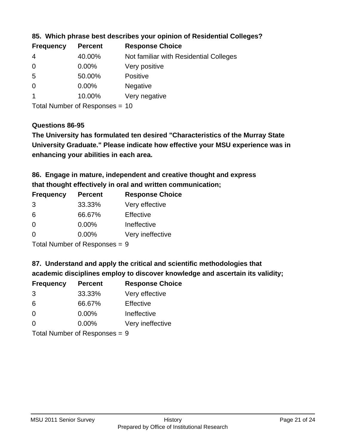| <b>Frequency</b> | <b>Percent</b> | <b>Response Choice</b>                 |
|------------------|----------------|----------------------------------------|
| 4                | 40.00%         | Not familiar with Residential Colleges |
| $\overline{0}$   | $0.00\%$       | Very positive                          |
| -5               | 50.00%         | <b>Positive</b>                        |
| $\overline{0}$   | $0.00\%$       | <b>Negative</b>                        |
|                  | 10.00%         | Very negative                          |
|                  |                |                                        |

**85. Which phrase best describes your opinion of Residential Colleges?**

Total Number of Responses = 10

#### **Questions 86-95**

**University Graduate." Please indicate how effective your MSU experience was in The University has formulated ten desired "Characteristics of the Murray State enhancing your abilities in each area.**

**86. Engage in mature, independent and creative thought and express that thought effectively in oral and written communication;**

| <b>Percent</b> | <b>Response Choice</b> |
|----------------|------------------------|
| 33.33%         | Very effective         |
| 66.67%         | Effective              |
| 0.00%          | Ineffective            |
| $0.00\%$       | Very ineffective       |
|                |                        |

Total Number of Responses = 9

**87. Understand and apply the critical and scientific methodologies that** 

**academic disciplines employ to discover knowledge and ascertain its validity;**

| <b>Frequency</b> | <b>Percent</b> | <b>Response Choice</b> |
|------------------|----------------|------------------------|
| 3                | 33.33%         | Very effective         |
| 6                | 66.67%         | Effective              |
| $\Omega$         | 0.00%          | Ineffective            |
| ∩                | 0.00%          | Very ineffective       |
|                  |                |                        |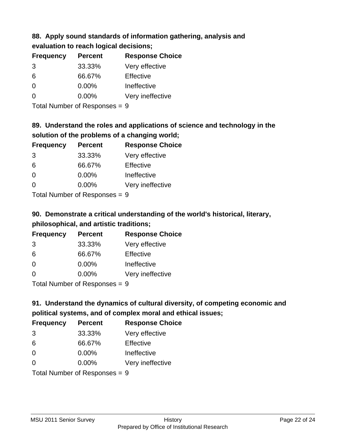#### **88. Apply sound standards of information gathering, analysis and evaluation to reach logical decisions;**

| evaluation to reach logical decisions; |                |                        |
|----------------------------------------|----------------|------------------------|
| <b>Frequency</b>                       | <b>Percent</b> | <b>Response Choice</b> |

| . . <del>.</del> |          | $\cdots$         |
|------------------|----------|------------------|
| 3                | 33.33%   | Very effective   |
| 6                | 66.67%   | Effective        |
| $\Omega$         | $0.00\%$ | Ineffective      |
| 0                | 0.00%    | Very ineffective |

Total Number of Responses = 9

# **89. Understand the roles and applications of science and technology in the solution of the problems of a changing world;**

| <b>Frequency</b> | <b>Percent</b>               | <b>Response Choice</b> |
|------------------|------------------------------|------------------------|
| 3                | 33.33%                       | Very effective         |
| 6                | 66.67%                       | Effective              |
| $\Omega$         | 0.00%                        | Ineffective            |
| $\Omega$         | 0.00%                        | Very ineffective       |
|                  | $\tau$ . The state of $\sim$ |                        |

Total Number of Responses = 9

# **90. Demonstrate a critical understanding of the world's historical, literary, philosophical, and artistic traditions;**

| <b>Frequency</b> | <b>Percent</b> | <b>Response Choice</b> |
|------------------|----------------|------------------------|
| 3                | 33.33%         | Very effective         |
| 6                | 66.67%         | Effective              |
| $\Omega$         | 0.00%          | Ineffective            |
| $\Omega$         | 0.00%          | Very ineffective       |
|                  |                |                        |

Total Number of Responses = 9

# **91. Understand the dynamics of cultural diversity, of competing economic and political systems, and of complex moral and ethical issues;**

| <b>Frequency</b>              | <b>Percent</b> | <b>Response Choice</b> |
|-------------------------------|----------------|------------------------|
| 3                             | 33.33%         | Very effective         |
| 6                             | 66.67%         | Effective              |
| $\Omega$                      | 0.00%          | Ineffective            |
| $\Omega$                      | 0.00%          | Very ineffective       |
| Total Number of Responses = 9 |                |                        |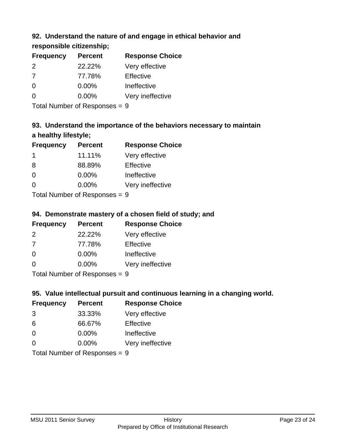## **92. Understand the nature of and engage in ethical behavior and**

**responsible citizenship;**

| <b>Percent</b> | <b>Response Choice</b> |
|----------------|------------------------|
| 22.22%         | Very effective         |
| 77.78%         | Effective              |
| 0.00%          | Ineffective            |
| $0.00\%$       | Very ineffective       |
|                |                        |

Total Number of Responses = 9

# **93. Understand the importance of the behaviors necessary to maintain a healthy lifestyle;**

| <b>Frequency</b> | <b>Percent</b>                                                                                                 | <b>Response Choice</b> |
|------------------|----------------------------------------------------------------------------------------------------------------|------------------------|
| -1               | 11.11%                                                                                                         | Very effective         |
| 8                | 88.89%                                                                                                         | Effective              |
| $\Omega$         | 0.00%                                                                                                          | Ineffective            |
| $\Omega$         | 0.00%                                                                                                          | Very ineffective       |
|                  | The INDIAN Contract Contract in the Contract of Contract of Contract of Contract of Contract of Contract of Co |                        |

Total Number of Responses = 9

# **94. Demonstrate mastery of a chosen field of study; and**

| <b>Frequency</b> | <b>Percent</b> | <b>Response Choice</b> |
|------------------|----------------|------------------------|
| $\mathcal{P}$    | 22.22%         | Very effective         |
| -7               | 77.78%         | Effective              |
| $\Omega$         | $0.00\%$       | Ineffective            |
| ∩                | $0.00\%$       | Very ineffective       |
|                  |                |                        |

Total Number of Responses = 9

## **95. Value intellectual pursuit and continuous learning in a changing world.**

| <b>Frequency</b> | <b>Percent</b>                                                                                                 | <b>Response Choice</b> |
|------------------|----------------------------------------------------------------------------------------------------------------|------------------------|
| 3                | 33.33%                                                                                                         | Very effective         |
| 6                | 66.67%                                                                                                         | Effective              |
| $\Omega$         | 0.00%                                                                                                          | Ineffective            |
| $\Omega$         | 0.00%                                                                                                          | Very ineffective       |
|                  | The INDIAN Contract Contract in the Contract of Contract of Contract of Contract of Contract of Contract of Co |                        |